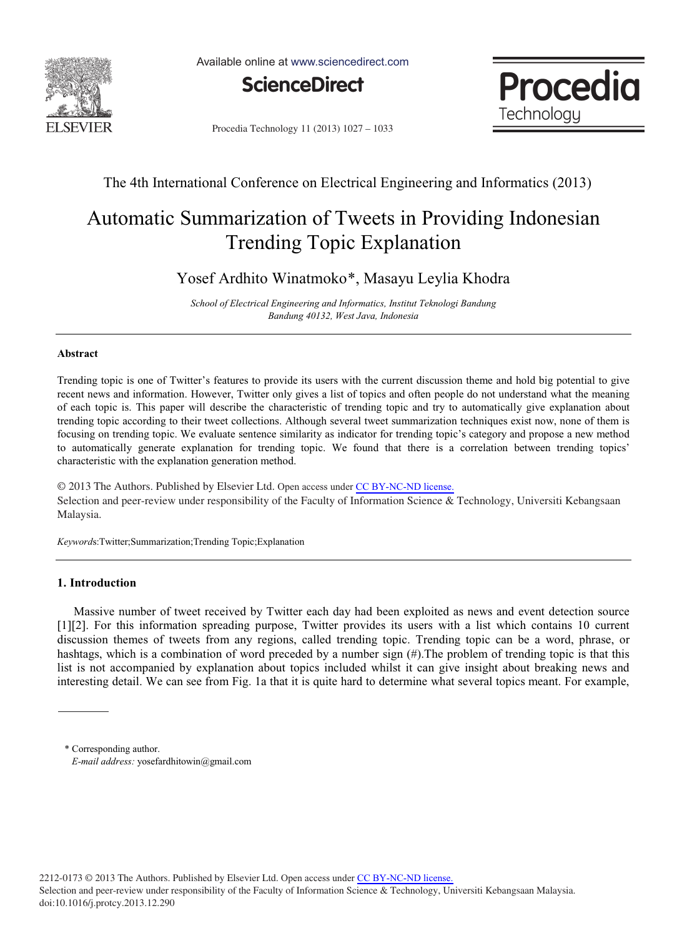

Available online at www.sciencedirect.com



Procedia Technology

Procedia Technology 11 (2013) 1027 - 1033

# The 4th International Conference on Electrical Engineering and Informatics (2013)

# Automatic Summarization of Tweets in Providing Indonesian Trending Topic Explanation

Yosef Ardhito Winatmoko\*, Masayu Leylia Khodra

*School of Electrical Engineering and Informatics, Institut Teknologi Bandung Bandung 40132, West Java, Indonesia*

## **Abstract**

Trending topic is one of Twitter's features to provide its users with the current discussion theme and hold big potential to give recent news and information. However, Twitter only gives a list of topics and often people do not understand what the meaning of each topic is. This paper will describe the characteristic of trending topic and try to automatically give explanation about trending topic according to their tweet collections. Although several tweet summarization techniques exist now, none of them is focusing on trending topic. We evaluate sentence similarity as indicator for trending topic's category and propose a new method to automatically generate explanation for trending topic. We found that there is a correlation between trending topics' characteristic with the explanation generation method.

© 2013 The Authors. Published by Elsevier Ltd. Open access under [CC BY-NC-ND license.](http://creativecommons.org/licenses/by-nc-nd/3.0/) Selection and peer-review under responsibility of the Faculty of Information Science & Technology, Universiti Kebangsaan Malaysia. Malaysia.

*Keyword*s:Twitter;Summarization;Trending Topic;Explanation

# **1. Introduction**

Massive number of tweet received by Twitter each day had been exploited as news and event detection source [1][2]. For this information spreading purpose, Twitter provides its users with a list which contains 10 current discussion themes of tweets from any regions, called trending topic. Trending topic can be a word, phrase, or hashtags, which is a combination of word preceded by a number sign (#). The problem of trending topic is that this list is not accompanied by explanation about topics included whilst it can give insight about breaking news and interesting detail. We can see from Fig. 1a that it is quite hard to determine what several topics meant. For example,

2212-0173 © 2013 The Authors. Published by Elsevier Ltd. Open access under [CC BY-NC-ND license.](http://creativecommons.org/licenses/by-nc-nd/3.0/)

Selection and peer-review under responsibility of the Faculty of Information Science & Technology, Universiti Kebangsaan Malaysia. doi: 10.1016/j.protcy.2013.12.290

<sup>\*</sup> Corresponding author. *E-mail address:* yosefardhitowin@gmail.com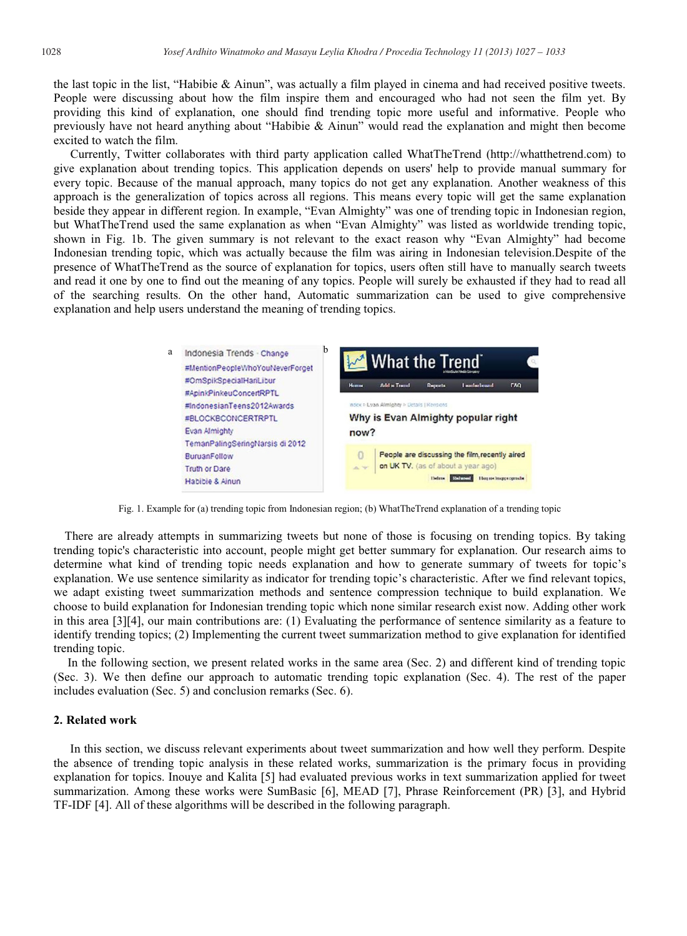the last topic in the list, "Habibie & Ainun", was actually a film played in cinema and had received positive tweets. People were discussing about how the film inspire them and encouraged who had not seen the film yet. By providing this kind of explanation, one should find trending topic more useful and informative. People who previously have not heard anything about "Habibie & Ainun" would read the explanation and might then become excited to watch the film.

Currently, Twitter collaborates with third party application called WhatTheTrend (http://whatthetrend.com) to give explanation about trending topics. This application depends on users' help to provide manual summary for every topic. Because of the manual approach, many topics do not get any explanation. Another weakness of this approach is the generalization of topics across all regions. This means every topic will get the same explanation beside they appear in different region. In example, "Evan Almighty" was one of trending topic in Indonesian region, but WhatTheTrend used the same explanation as when "Evan Almighty" was listed as worldwide trending topic, shown in Fig. 1b. The given summary is not relevant to the exact reason why "Evan Almighty" had become Indonesian trending topic, which was actually because the film was airing in Indonesian television.Despite of the presence of WhatTheTrend as the source of explanation for topics, users often still have to manually search tweets and read it one by one to find out the meaning of any topics. People will surely be exhausted if they had to read all of the searching results. On the other hand, Automatic summarization can be used to give comprehensive explanation and help users understand the meaning of trending topics.



Fig. 1. Example for (a) trending topic from Indonesian region; (b) WhatTheTrend explanation of a trending topic

There are already attempts in summarizing tweets but none of those is focusing on trending topics. By taking trending topic's characteristic into account, people might get better summary for explanation. Our research aims to determine what kind of trending topic needs explanation and how to generate summary of tweets for topic's explanation. We use sentence similarity as indicator for trending topic's characteristic. After we find relevant topics, we adapt existing tweet summarization methods and sentence compression technique to build explanation. We choose to build explanation for Indonesian trending topic which none similar research exist now. Adding other work in this area [3][4], our main contributions are: (1) Evaluating the performance of sentence similarity as a feature to identify trending topics; (2) Implementing the current tweet summarization method to give explanation for identified trending topic.

In the following section, we present related works in the same area (Sec. 2) and different kind of trending topic (Sec. 3). We then define our approach to automatic trending topic explanation (Sec. 4). The rest of the paper includes evaluation (Sec. 5) and conclusion remarks (Sec. 6).

#### **2. Related work**

In this section, we discuss relevant experiments about tweet summarization and how well they perform. Despite the absence of trending topic analysis in these related works, summarization is the primary focus in providing explanation for topics. Inouye and Kalita [5] had evaluated previous works in text summarization applied for tweet summarization. Among these works were SumBasic [6], MEAD [7], Phrase Reinforcement (PR) [3], and Hybrid TF-IDF [4]. All of these algorithms will be described in the following paragraph.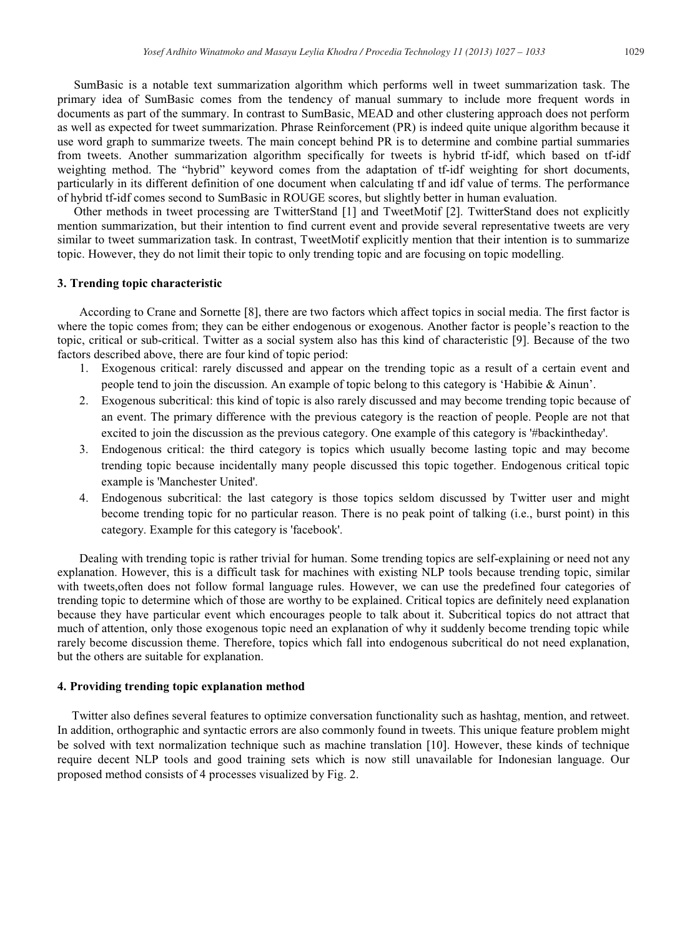SumBasic is a notable text summarization algorithm which performs well in tweet summarization task. The primary idea of SumBasic comes from the tendency of manual summary to include more frequent words in documents as part of the summary. In contrast to SumBasic, MEAD and other clustering approach does not perform as well as expected for tweet summarization. Phrase Reinforcement (PR) is indeed quite unique algorithm because it use word graph to summarize tweets. The main concept behind PR is to determine and combine partial summaries from tweets. Another summarization algorithm specifically for tweets is hybrid tf-idf, which based on tf-idf weighting method. The "hybrid" keyword comes from the adaptation of tf-idf weighting for short documents, particularly in its different definition of one document when calculating tf and idf value of terms. The performance of hybrid tf-idf comes second to SumBasic in ROUGE scores, but slightly better in human evaluation.

Other methods in tweet processing are TwitterStand [1] and TweetMotif [2]. TwitterStand does not explicitly mention summarization, but their intention to find current event and provide several representative tweets are very similar to tweet summarization task. In contrast, TweetMotif explicitly mention that their intention is to summarize topic. However, they do not limit their topic to only trending topic and are focusing on topic modelling.

# **3. Trending topic characteristic**

According to Crane and Sornette [8], there are two factors which affect topics in social media. The first factor is where the topic comes from; they can be either endogenous or exogenous. Another factor is people's reaction to the topic, critical or sub-critical. Twitter as a social system also has this kind of characteristic [9]. Because of the two factors described above, there are four kind of topic period:

- 1. Exogenous critical: rarely discussed and appear on the trending topic as a result of a certain event and people tend to join the discussion. An example of topic belong to this category is 'Habibie & Ainun'.
- 2. Exogenous subcritical: this kind of topic is also rarely discussed and may become trending topic because of an event. The primary difference with the previous category is the reaction of people. People are not that excited to join the discussion as the previous category. One example of this category is '#backintheday'.
- 3. Endogenous critical: the third category is topics which usually become lasting topic and may become trending topic because incidentally many people discussed this topic together. Endogenous critical topic example is 'Manchester United'.
- 4. Endogenous subcritical: the last category is those topics seldom discussed by Twitter user and might become trending topic for no particular reason. There is no peak point of talking (i.e., burst point) in this category. Example for this category is 'facebook'.

Dealing with trending topic is rather trivial for human. Some trending topics are self-explaining or need not any explanation. However, this is a difficult task for machines with existing NLP tools because trending topic, similar with tweets,often does not follow formal language rules. However, we can use the predefined four categories of trending topic to determine which of those are worthy to be explained. Critical topics are definitely need explanation because they have particular event which encourages people to talk about it. Subcritical topics do not attract that much of attention, only those exogenous topic need an explanation of why it suddenly become trending topic while rarely become discussion theme. Therefore, topics which fall into endogenous subcritical do not need explanation, but the others are suitable for explanation.

# **4. Providing trending topic explanation method**

Twitter also defines several features to optimize conversation functionality such as hashtag, mention, and retweet. In addition, orthographic and syntactic errors are also commonly found in tweets. This unique feature problem might be solved with text normalization technique such as machine translation [10]. However, these kinds of technique require decent NLP tools and good training sets which is now still unavailable for Indonesian language. Our proposed method consists of 4 processes visualized by Fig. 2.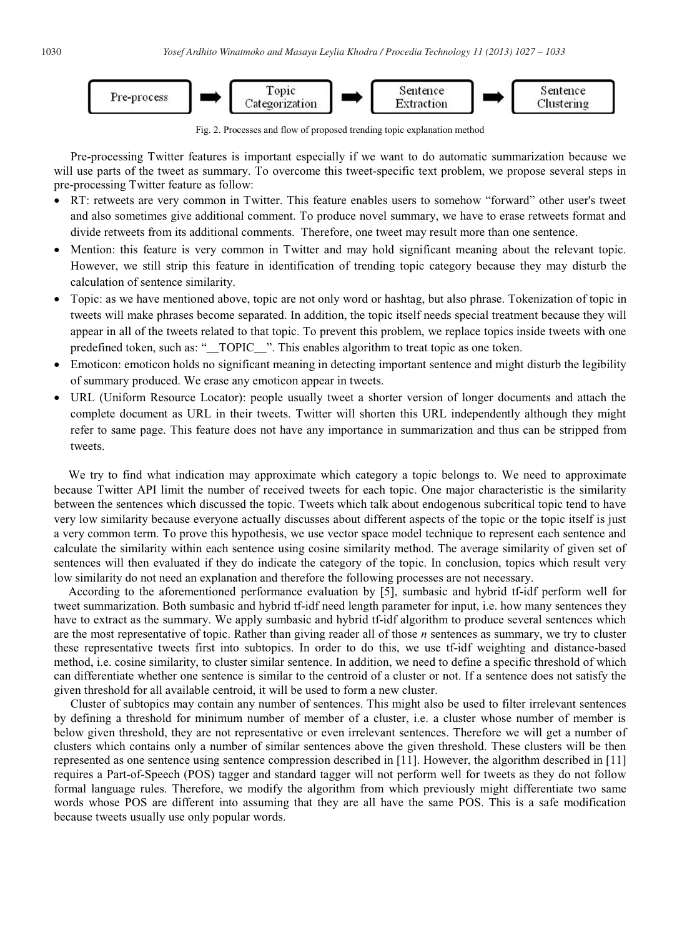

Fig. 2. Processes and flow of proposed trending topic explanation method

Pre-processing Twitter features is important especially if we want to do automatic summarization because we will use parts of the tweet as summary. To overcome this tweet-specific text problem, we propose several steps in pre-processing Twitter feature as follow:

- RT: retweets are very common in Twitter. This feature enables users to somehow "forward" other user's tweet and also sometimes give additional comment. To produce novel summary, we have to erase retweets format and divide retweets from its additional comments. Therefore, one tweet may result more than one sentence.
- x Mention: this feature is very common in Twitter and may hold significant meaning about the relevant topic. However, we still strip this feature in identification of trending topic category because they may disturb the calculation of sentence similarity.
- x Topic: as we have mentioned above, topic are not only word or hashtag, but also phrase. Tokenization of topic in tweets will make phrases become separated. In addition, the topic itself needs special treatment because they will appear in all of the tweets related to that topic. To prevent this problem, we replace topics inside tweets with one predefined token, such as: "\_\_TOPIC\_\_". This enables algorithm to treat topic as one token.
- Emoticon: emoticon holds no significant meaning in detecting important sentence and might disturb the legibility of summary produced. We erase any emoticon appear in tweets.
- URL (Uniform Resource Locator): people usually tweet a shorter version of longer documents and attach the complete document as URL in their tweets. Twitter will shorten this URL independently although they might refer to same page. This feature does not have any importance in summarization and thus can be stripped from tweets.

We try to find what indication may approximate which category a topic belongs to. We need to approximate because Twitter API limit the number of received tweets for each topic. One major characteristic is the similarity between the sentences which discussed the topic. Tweets which talk about endogenous subcritical topic tend to have very low similarity because everyone actually discusses about different aspects of the topic or the topic itself is just a very common term. To prove this hypothesis, we use vector space model technique to represent each sentence and calculate the similarity within each sentence using cosine similarity method. The average similarity of given set of sentences will then evaluated if they do indicate the category of the topic. In conclusion, topics which result very low similarity do not need an explanation and therefore the following processes are not necessary.

According to the aforementioned performance evaluation by [5], sumbasic and hybrid tf-idf perform well for tweet summarization. Both sumbasic and hybrid tf-idf need length parameter for input, i.e. how many sentences they have to extract as the summary. We apply sumbasic and hybrid tf-idf algorithm to produce several sentences which are the most representative of topic. Rather than giving reader all of those *n* sentences as summary, we try to cluster these representative tweets first into subtopics. In order to do this, we use tf-idf weighting and distance-based method, i.e. cosine similarity, to cluster similar sentence. In addition, we need to define a specific threshold of which can differentiate whether one sentence is similar to the centroid of a cluster or not. If a sentence does not satisfy the given threshold for all available centroid, it will be used to form a new cluster.

Cluster of subtopics may contain any number of sentences. This might also be used to filter irrelevant sentences by defining a threshold for minimum number of member of a cluster, i.e. a cluster whose number of member is below given threshold, they are not representative or even irrelevant sentences. Therefore we will get a number of clusters which contains only a number of similar sentences above the given threshold. These clusters will be then represented as one sentence using sentence compression described in [11]. However, the algorithm described in [11] requires a Part-of-Speech (POS) tagger and standard tagger will not perform well for tweets as they do not follow formal language rules. Therefore, we modify the algorithm from which previously might differentiate two same words whose POS are different into assuming that they are all have the same POS. This is a safe modification because tweets usually use only popular words.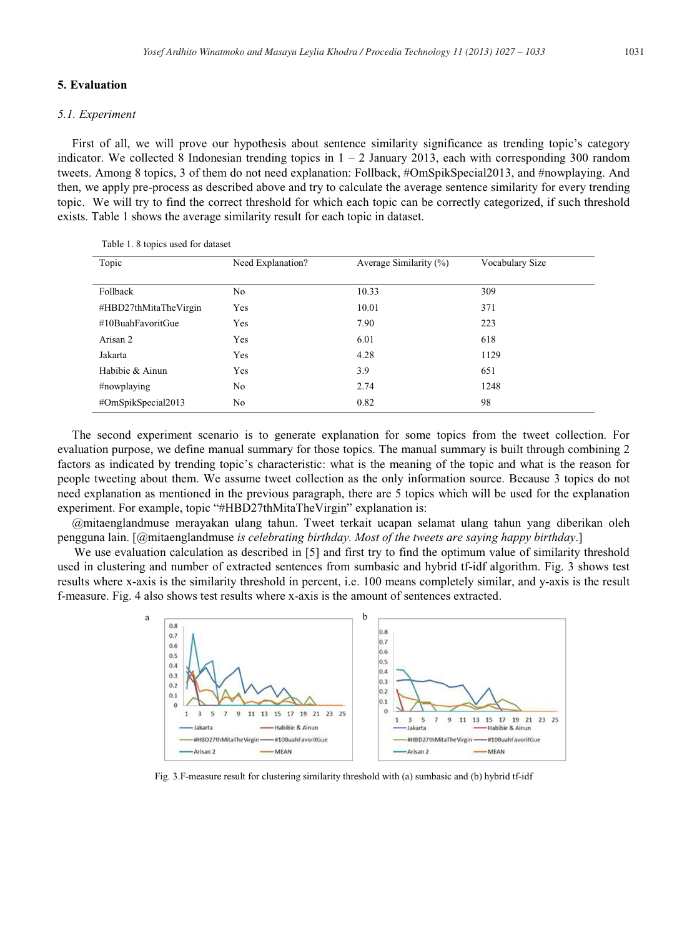### **5. Evaluation**

#### *5.1. Experiment*

First of all, we will prove our hypothesis about sentence similarity significance as trending topic's category indicator. We collected 8 Indonesian trending topics in  $1 - 2$  January 2013, each with corresponding 300 random tweets. Among 8 topics, 3 of them do not need explanation: Follback, #OmSpikSpecial2013, and #nowplaying. And then, we apply pre-process as described above and try to calculate the average sentence similarity for every trending topic. We will try to find the correct threshold for which each topic can be correctly categorized, if such threshold exists. Table 1 shows the average similarity result for each topic in dataset.

| Topic                 | Need Explanation? | Average Similarity (%) | Vocabulary Size |  |
|-----------------------|-------------------|------------------------|-----------------|--|
|                       |                   |                        |                 |  |
| Follback              | No                | 10.33                  | 309             |  |
| #HBD27thMitaTheVirgin | Yes               | 10.01                  | 371             |  |
| #10BuahFavoritGue     | Yes               | 7.90                   | 223             |  |
| Arisan 2              | Yes               | 6.01                   | 618             |  |
| Jakarta               | Yes               | 4.28                   | 1129            |  |
| Habibie & Ainun       | Yes               | 3.9                    | 651             |  |
| #nowplaying           | No                | 2.74                   | 1248            |  |
| #OmSpikSpecial2013    | No                | 0.82                   | 98              |  |

Table 1. 8 topics used for dataset

The second experiment scenario is to generate explanation for some topics from the tweet collection. For evaluation purpose, we define manual summary for those topics. The manual summary is built through combining 2 factors as indicated by trending topic's characteristic: what is the meaning of the topic and what is the reason for people tweeting about them. We assume tweet collection as the only information source. Because 3 topics do not need explanation as mentioned in the previous paragraph, there are 5 topics which will be used for the explanation experiment. For example, topic "#HBD27thMitaTheVirgin" explanation is:

@mitaenglandmuse merayakan ulang tahun. Tweet terkait ucapan selamat ulang tahun yang diberikan oleh pengguna lain. [@mitaenglandmuse *is celebrating birthday. Most of the tweets are saying happy birthday*.]

We use evaluation calculation as described in [5] and first try to find the optimum value of similarity threshold used in clustering and number of extracted sentences from sumbasic and hybrid tf-idf algorithm. Fig. 3 shows test results where x-axis is the similarity threshold in percent, i.e. 100 means completely similar, and y-axis is the result f-measure. Fig. 4 also shows test results where x-axis is the amount of sentences extracted.



Fig. 3.F-measure result for clustering similarity threshold with (a) sumbasic and (b) hybrid tf-idf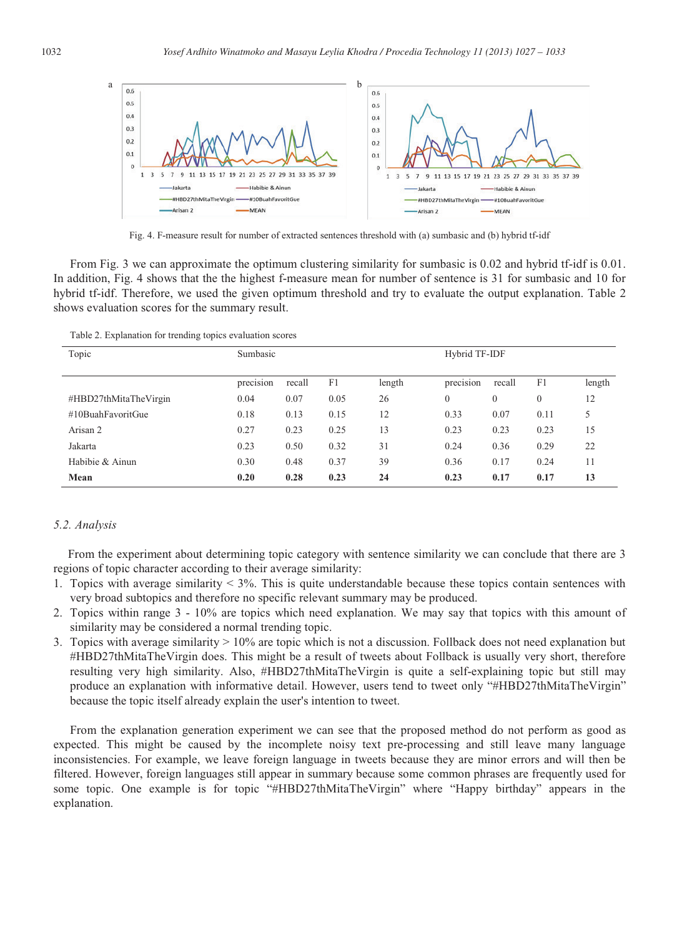

Fig. 4. F-measure result for number of extracted sentences threshold with (a) sumbasic and (b) hybrid tf-idf

From Fig. 3 we can approximate the optimum clustering similarity for sumbasic is 0.02 and hybrid tf-idf is 0.01. In addition, Fig. 4 shows that the the highest f-measure mean for number of sentence is 31 for sumbasic and 10 for hybrid tf-idf. Therefore, we used the given optimum threshold and try to evaluate the output explanation. Table 2 shows evaluation scores for the summary result.

| ັ                     |           |        |      |               |              |              |              |        |
|-----------------------|-----------|--------|------|---------------|--------------|--------------|--------------|--------|
| Topic                 | Sumbasic  |        |      | Hybrid TF-IDF |              |              |              |        |
|                       |           |        |      |               |              |              |              |        |
|                       | precision | recall | F1   | length        | precision    | recall       | F1           | length |
| #HBD27thMitaTheVirgin | 0.04      | 0.07   | 0.05 | 26            | $\mathbf{0}$ | $\mathbf{0}$ | $\mathbf{0}$ | 12     |
| $#10$ BuahFavoritGue  | 0.18      | 0.13   | 0.15 | 12            | 0.33         | 0.07         | 0.11         | 5      |
| Arisan 2              | 0.27      | 0.23   | 0.25 | 13            | 0.23         | 0.23         | 0.23         | 15     |
| Jakarta               | 0.23      | 0.50   | 0.32 | 31            | 0.24         | 0.36         | 0.29         | 22     |
| Habibie & Ainun       | 0.30      | 0.48   | 0.37 | 39            | 0.36         | 0.17         | 0.24         | 11     |
| Mean                  | 0.20      | 0.28   | 0.23 | 24            | 0.23         | 0.17         | 0.17         | 13     |

Table 2. Explanation for trending topics evaluation scores

# *5.2. Analysis*

From the experiment about determining topic category with sentence similarity we can conclude that there are 3 regions of topic character according to their average similarity:

- 1. Topics with average similarity  $\leq 3\%$ . This is quite understandable because these topics contain sentences with very broad subtopics and therefore no specific relevant summary may be produced.
- 2. Topics within range 3 10% are topics which need explanation. We may say that topics with this amount of similarity may be considered a normal trending topic.
- 3. Topics with average similarity > 10% are topic which is not a discussion. Follback does not need explanation but #HBD27thMitaTheVirgin does. This might be a result of tweets about Follback is usually very short, therefore resulting very high similarity. Also, #HBD27thMitaTheVirgin is quite a self-explaining topic but still may produce an explanation with informative detail. However, users tend to tweet only "#HBD27thMitaTheVirgin" because the topic itself already explain the user's intention to tweet.

From the explanation generation experiment we can see that the proposed method do not perform as good as expected. This might be caused by the incomplete noisy text pre-processing and still leave many language inconsistencies. For example, we leave foreign language in tweets because they are minor errors and will then be filtered. However, foreign languages still appear in summary because some common phrases are frequently used for some topic. One example is for topic "#HBD27thMitaTheVirgin" where "Happy birthday" appears in the explanation.